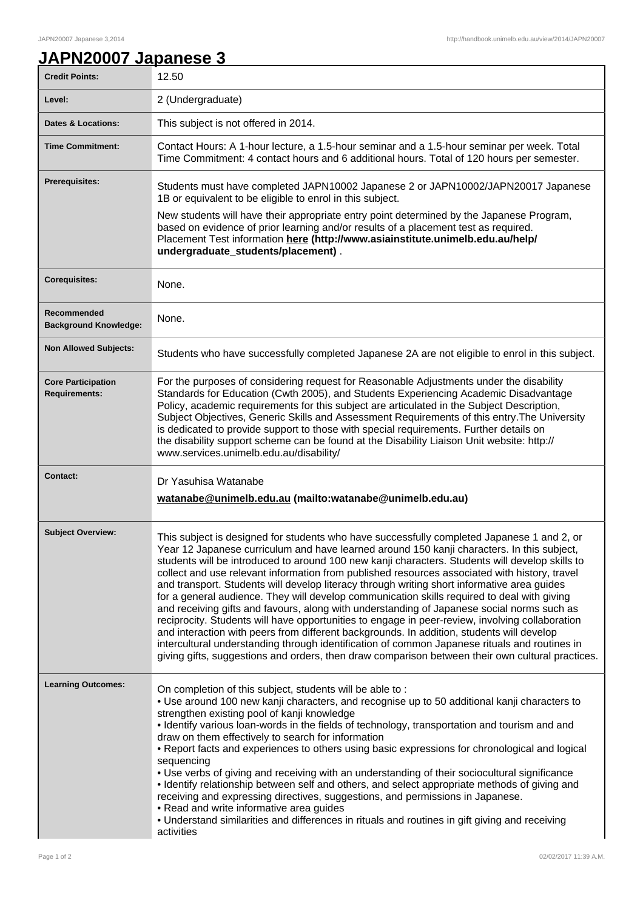## **JAPN20007 Japanese 3**

| <b>Credit Points:</b>                             | 12.50                                                                                                                                                                                                                                                                                                                                                                                                                                                                                                                                                                                                                                                                                                                                                                                                                                                                                                                                                                                                                                                                                         |
|---------------------------------------------------|-----------------------------------------------------------------------------------------------------------------------------------------------------------------------------------------------------------------------------------------------------------------------------------------------------------------------------------------------------------------------------------------------------------------------------------------------------------------------------------------------------------------------------------------------------------------------------------------------------------------------------------------------------------------------------------------------------------------------------------------------------------------------------------------------------------------------------------------------------------------------------------------------------------------------------------------------------------------------------------------------------------------------------------------------------------------------------------------------|
| Level:                                            | 2 (Undergraduate)                                                                                                                                                                                                                                                                                                                                                                                                                                                                                                                                                                                                                                                                                                                                                                                                                                                                                                                                                                                                                                                                             |
| <b>Dates &amp; Locations:</b>                     | This subject is not offered in 2014.                                                                                                                                                                                                                                                                                                                                                                                                                                                                                                                                                                                                                                                                                                                                                                                                                                                                                                                                                                                                                                                          |
| <b>Time Commitment:</b>                           | Contact Hours: A 1-hour lecture, a 1.5-hour seminar and a 1.5-hour seminar per week. Total<br>Time Commitment: 4 contact hours and 6 additional hours. Total of 120 hours per semester.                                                                                                                                                                                                                                                                                                                                                                                                                                                                                                                                                                                                                                                                                                                                                                                                                                                                                                       |
| Prerequisites:                                    | Students must have completed JAPN10002 Japanese 2 or JAPN10002/JAPN20017 Japanese<br>1B or equivalent to be eligible to enrol in this subject.                                                                                                                                                                                                                                                                                                                                                                                                                                                                                                                                                                                                                                                                                                                                                                                                                                                                                                                                                |
|                                                   | New students will have their appropriate entry point determined by the Japanese Program,<br>based on evidence of prior learning and/or results of a placement test as required.<br>Placement Test information here (http://www.asiainstitute.unimelb.edu.au/help/<br>undergraduate_students/placement).                                                                                                                                                                                                                                                                                                                                                                                                                                                                                                                                                                                                                                                                                                                                                                                       |
| <b>Corequisites:</b>                              | None.                                                                                                                                                                                                                                                                                                                                                                                                                                                                                                                                                                                                                                                                                                                                                                                                                                                                                                                                                                                                                                                                                         |
| Recommended<br><b>Background Knowledge:</b>       | None.                                                                                                                                                                                                                                                                                                                                                                                                                                                                                                                                                                                                                                                                                                                                                                                                                                                                                                                                                                                                                                                                                         |
| <b>Non Allowed Subjects:</b>                      | Students who have successfully completed Japanese 2A are not eligible to enrol in this subject.                                                                                                                                                                                                                                                                                                                                                                                                                                                                                                                                                                                                                                                                                                                                                                                                                                                                                                                                                                                               |
| <b>Core Participation</b><br><b>Requirements:</b> | For the purposes of considering request for Reasonable Adjustments under the disability<br>Standards for Education (Cwth 2005), and Students Experiencing Academic Disadvantage<br>Policy, academic requirements for this subject are articulated in the Subject Description,<br>Subject Objectives, Generic Skills and Assessment Requirements of this entry. The University<br>is dedicated to provide support to those with special requirements. Further details on<br>the disability support scheme can be found at the Disability Liaison Unit website: http://<br>www.services.unimelb.edu.au/disability/                                                                                                                                                                                                                                                                                                                                                                                                                                                                              |
| <b>Contact:</b>                                   | Dr Yasuhisa Watanabe<br>watanabe@unimelb.edu.au (mailto:watanabe@unimelb.edu.au)                                                                                                                                                                                                                                                                                                                                                                                                                                                                                                                                                                                                                                                                                                                                                                                                                                                                                                                                                                                                              |
| <b>Subject Overview:</b>                          | This subject is designed for students who have successfully completed Japanese 1 and 2, or<br>Year 12 Japanese curriculum and have learned around 150 kanji characters. In this subject,<br>students will be introduced to around 100 new kanji characters. Students will develop skills to<br>collect and use relevant information from published resources associated with history, travel<br>and transport. Students will develop literacy through writing short informative area guides<br>for a general audience. They will develop communication skills required to deal with giving<br>and receiving gifts and favours, along with understanding of Japanese social norms such as<br>reciprocity. Students will have opportunities to engage in peer-review, involving collaboration<br>and interaction with peers from different backgrounds. In addition, students will develop<br>intercultural understanding through identification of common Japanese rituals and routines in<br>giving gifts, suggestions and orders, then draw comparison between their own cultural practices. |
| <b>Learning Outcomes:</b>                         | On completion of this subject, students will be able to:<br>. Use around 100 new kanji characters, and recognise up to 50 additional kanji characters to<br>strengthen existing pool of kanji knowledge<br>• Identify various loan-words in the fields of technology, transportation and tourism and and<br>draw on them effectively to search for information<br>• Report facts and experiences to others using basic expressions for chronological and logical<br>sequencing<br>• Use verbs of giving and receiving with an understanding of their sociocultural significance<br>• Identify relationship between self and others, and select appropriate methods of giving and<br>receiving and expressing directives, suggestions, and permissions in Japanese.<br>• Read and write informative area guides<br>. Understand similarities and differences in rituals and routines in gift giving and receiving<br>activities                                                                                                                                                                |